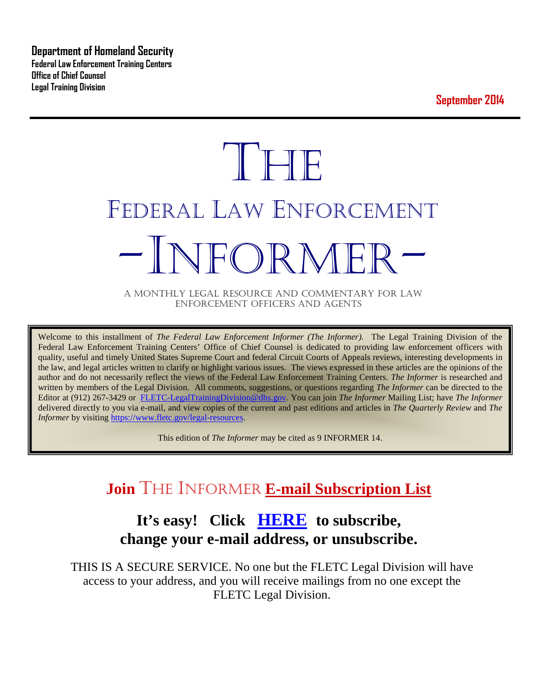**Department of Homeland Security Federal Law Enforcement Training Centers Office of Chief Counsel Legal Training Division** 

**September 2014**

# **THE** FEDERAL LAW ENFORCEMENT NFOR MFI

A MONTHLY LEGAL RESOURCE AND COMMENTARY FOR LAW ENFORCEMENT OFFICERS AND AGENTS

Welcome to this installment of *The Federal Law Enforcement Informer (The Informer).* The Legal Training Division of the Federal Law Enforcement Training Centers' Office of Chief Counsel is dedicated to providing law enforcement officers with quality, useful and timely United States Supreme Court and federal Circuit Courts of Appeals reviews, interesting developments in the law, and legal articles written to clarify or highlight various issues. The views expressed in these articles are the opinions of the author and do not necessarily reflect the views of the Federal Law Enforcement Training Centers. *The Informer* is researched and written by members of the Legal Division. All comments, suggestions, or questions regarding *The Informer* can be directed to the Editor at (912) 267-3429 or [FLETC-LegalTrainingDivision@dhs.gov.](mailto:FLETC-LegalTrainingDivision@dhs.gov) You can join *The Informer* Mailing List; have *The Informer* delivered directly to you via e-mail, and view copies of the current and past editions and articles in *The Quarterly Review* and *The Informer* by visiting [https://www.fletc.gov/legal-resources.](https://www.fletc.gov/legal-resources)

This edition of *The Informer* may be cited as 9 INFORMER 14.

# **Join** THE INFORMER **E-mail Subscription List**

# **It's easy! Click [HERE](http://peach.ease.lsoft.com/scripts/wa.exe?SUBED1=fletclgd&A=1) to subscribe, change your e-mail address, or unsubscribe.**

THIS IS A SECURE SERVICE. No one but the FLETC Legal Division will have access to your address, and you will receive mailings from no one except the FLETC Legal Division.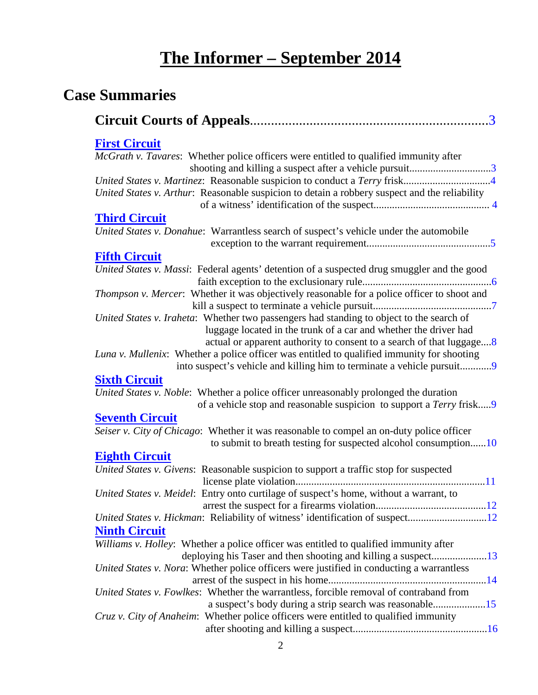# **The Informer – September 2014**

# **Case Summaries**

| <b>First Circuit</b>                                                                          |
|-----------------------------------------------------------------------------------------------|
| <i>McGrath v. Tavares:</i> Whether police officers were entitled to qualified immunity after  |
| shooting and killing a suspect after a vehicle pursuit3                                       |
|                                                                                               |
| United States v. Arthur: Reasonable suspicion to detain a robbery suspect and the reliability |
|                                                                                               |
| <b>Third Circuit</b>                                                                          |
| United States v. Donahue: Warrantless search of suspect's vehicle under the automobile        |
|                                                                                               |
| <b>Fifth Circuit</b>                                                                          |
| United States v. Massi: Federal agents' detention of a suspected drug smuggler and the good   |
|                                                                                               |
| Thompson v. Mercer: Whether it was objectively reasonable for a police officer to shoot and   |
|                                                                                               |
|                                                                                               |
| United States v. Iraheta: Whether two passengers had standing to object to the search of      |
| luggage located in the trunk of a car and whether the driver had                              |
| actual or apparent authority to consent to a search of that luggage8                          |
| Luna v. Mullenix: Whether a police officer was entitled to qualified immunity for shooting    |
| into suspect's vehicle and killing him to terminate a vehicle pursuit9                        |
| <b>Sixth Circuit</b>                                                                          |
| United States v. Noble: Whether a police officer unreasonably prolonged the duration          |
| of a vehicle stop and reasonable suspicion to support a Terry frisk9                          |
| <b>Seventh Circuit</b>                                                                        |
| Seiser v. City of Chicago: Whether it was reasonable to compel an on-duty police officer      |
| to submit to breath testing for suspected alcohol consumption10                               |
| <b>Eighth Circuit</b>                                                                         |
| United States v. Givens: Reasonable suspicion to support a traffic stop for suspected         |
|                                                                                               |
| United States v. Meidel: Entry onto curtilage of suspect's home, without a warrant, to        |
|                                                                                               |
| United States v. Hickman: Reliability of witness' identification of suspect12                 |
| <b>Ninth Circuit</b>                                                                          |
| Williams v. Holley: Whether a police officer was entitled to qualified immunity after         |
| deploying his Taser and then shooting and killing a suspect13                                 |
| United States v. Nora: Whether police officers were justified in conducting a warrantless     |
|                                                                                               |
| United States v. Fowlkes: Whether the warrantless, forcible removal of contraband from        |
| a suspect's body during a strip search was reasonable15                                       |
| Cruz v. City of Anaheim: Whether police officers were entitled to qualified immunity          |
|                                                                                               |
|                                                                                               |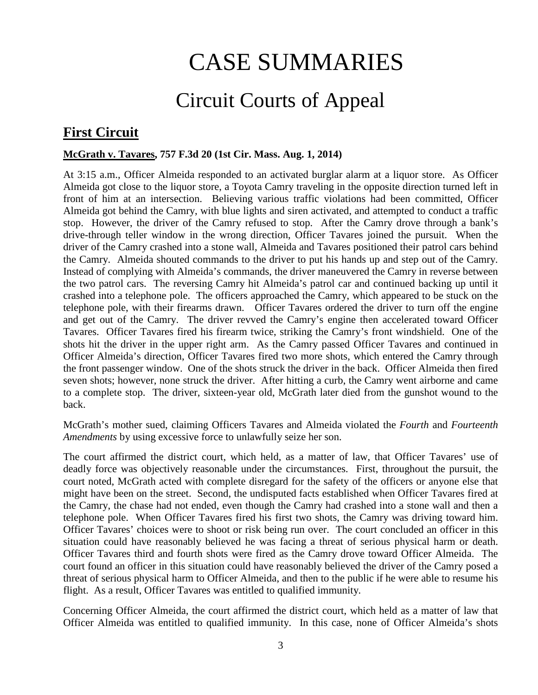# CASE SUMMARIES

# Circuit Courts of Appeal

# <span id="page-2-1"></span><span id="page-2-0"></span>**First Circuit**

#### <span id="page-2-2"></span>**McGrath v. Tavares, 757 F.3d 20 (1st Cir. Mass. Aug. 1, 2014)**

At 3:15 a.m., Officer Almeida responded to an activated burglar alarm at a liquor store. As Officer Almeida got close to the liquor store, a Toyota Camry traveling in the opposite direction turned left in front of him at an intersection. Believing various traffic violations had been committed, Officer Almeida got behind the Camry, with blue lights and siren activated, and attempted to conduct a traffic stop. However, the driver of the Camry refused to stop. After the Camry drove through a bank's drive-through teller window in the wrong direction, Officer Tavares joined the pursuit. When the driver of the Camry crashed into a stone wall, Almeida and Tavares positioned their patrol cars behind the Camry. Almeida shouted commands to the driver to put his hands up and step out of the Camry. Instead of complying with Almeida's commands, the driver maneuvered the Camry in reverse between the two patrol cars. The reversing Camry hit Almeida's patrol car and continued backing up until it crashed into a telephone pole. The officers approached the Camry, which appeared to be stuck on the telephone pole, with their firearms drawn. Officer Tavares ordered the driver to turn off the engine and get out of the Camry. The driver revved the Camry's engine then accelerated toward Officer Tavares. Officer Tavares fired his firearm twice, striking the Camry's front windshield. One of the shots hit the driver in the upper right arm. As the Camry passed Officer Tavares and continued in Officer Almeida's direction, Officer Tavares fired two more shots, which entered the Camry through the front passenger window. One of the shots struck the driver in the back. Officer Almeida then fired seven shots; however, none struck the driver. After hitting a curb, the Camry went airborne and came to a complete stop. The driver, sixteen-year old, McGrath later died from the gunshot wound to the back.

McGrath's mother sued, claiming Officers Tavares and Almeida violated the *Fourth* and *Fourteenth Amendments* by using excessive force to unlawfully seize her son.

The court affirmed the district court, which held, as a matter of law, that Officer Tavares' use of deadly force was objectively reasonable under the circumstances. First, throughout the pursuit, the court noted, McGrath acted with complete disregard for the safety of the officers or anyone else that might have been on the street. Second, the undisputed facts established when Officer Tavares fired at the Camry, the chase had not ended, even though the Camry had crashed into a stone wall and then a telephone pole. When Officer Tavares fired his first two shots, the Camry was driving toward him. Officer Tavares' choices were to shoot or risk being run over. The court concluded an officer in this situation could have reasonably believed he was facing a threat of serious physical harm or death. Officer Tavares third and fourth shots were fired as the Camry drove toward Officer Almeida. The court found an officer in this situation could have reasonably believed the driver of the Camry posed a threat of serious physical harm to Officer Almeida, and then to the public if he were able to resume his flight. As a result, Officer Tavares was entitled to qualified immunity.

Concerning Officer Almeida, the court affirmed the district court, which held as a matter of law that Officer Almeida was entitled to qualified immunity. In this case, none of Officer Almeida's shots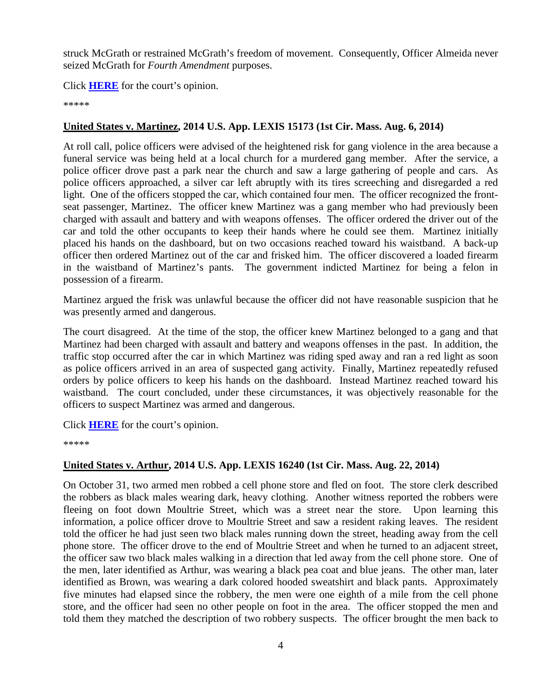struck McGrath or restrained McGrath's freedom of movement. Consequently, Officer Almeida never seized McGrath for *Fourth Amendment* purposes.

Click **[HERE](http://docs.justia.com/cases/federal/appellate-courts/ca1/12-2277/12-2277-2014-08-01.pdf)** for the court's opinion.

\*\*\*\*\*

#### <span id="page-3-0"></span>**United States v. Martinez, 2014 U.S. App. LEXIS 15173 (1st Cir. Mass. Aug. 6, 2014)**

At roll call, police officers were advised of the heightened risk for gang violence in the area because a funeral service was being held at a local church for a murdered gang member. After the service, a police officer drove past a park near the church and saw a large gathering of people and cars. As police officers approached, a silver car left abruptly with its tires screeching and disregarded a red light. One of the officers stopped the car, which contained four men. The officer recognized the frontseat passenger, Martinez. The officer knew Martinez was a gang member who had previously been charged with assault and battery and with weapons offenses. The officer ordered the driver out of the car and told the other occupants to keep their hands where he could see them. Martinez initially placed his hands on the dashboard, but on two occasions reached toward his waistband. A back-up officer then ordered Martinez out of the car and frisked him. The officer discovered a loaded firearm in the waistband of Martinez's pants. The government indicted Martinez for being a felon in possession of a firearm.

Martinez argued the frisk was unlawful because the officer did not have reasonable suspicion that he was presently armed and dangerous.

The court disagreed. At the time of the stop, the officer knew Martinez belonged to a gang and that Martinez had been charged with assault and battery and weapons offenses in the past. In addition, the traffic stop occurred after the car in which Martinez was riding sped away and ran a red light as soon as police officers arrived in an area of suspected gang activity. Finally, Martinez repeatedly refused orders by police officers to keep his hands on the dashboard. Instead Martinez reached toward his waistband. The court concluded, under these circumstances, it was objectively reasonable for the officers to suspect Martinez was armed and dangerous.

Click **[HERE](http://docs.justia.com/cases/federal/appellate-courts/ca1/12-2219/12-2219-2014-08-06.pdf)** for the court's opinion.

\*\*\*\*\*

#### <span id="page-3-1"></span>**United States v. Arthur, 2014 U.S. App. LEXIS 16240 (1st Cir. Mass. Aug. 22, 2014)**

On October 31, two armed men robbed a cell phone store and fled on foot. The store clerk described the robbers as black males wearing dark, heavy clothing. Another witness reported the robbers were fleeing on foot down Moultrie Street, which was a street near the store. Upon learning this information, a police officer drove to Moultrie Street and saw a resident raking leaves. The resident told the officer he had just seen two black males running down the street, heading away from the cell phone store. The officer drove to the end of Moultrie Street and when he turned to an adjacent street, the officer saw two black males walking in a direction that led away from the cell phone store. One of the men, later identified as Arthur, was wearing a black pea coat and blue jeans. The other man, later identified as Brown, was wearing a dark colored hooded sweatshirt and black pants. Approximately five minutes had elapsed since the robbery, the men were one eighth of a mile from the cell phone store, and the officer had seen no other people on foot in the area. The officer stopped the men and told them they matched the description of two robbery suspects. The officer brought the men back to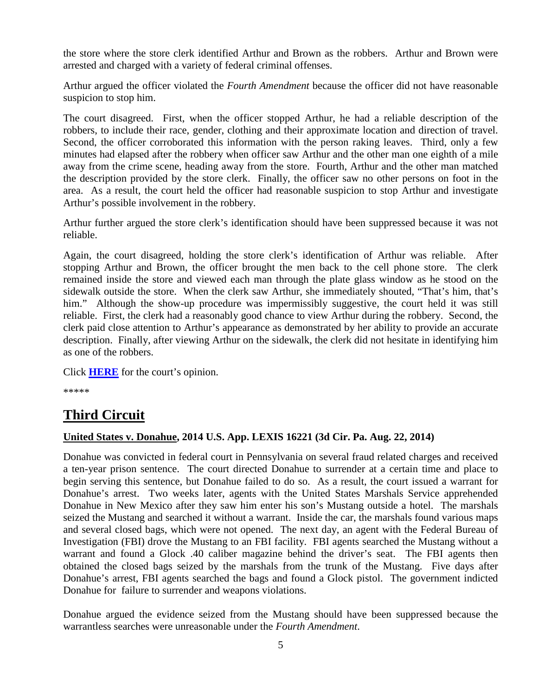the store where the store clerk identified Arthur and Brown as the robbers. Arthur and Brown were arrested and charged with a variety of federal criminal offenses.

Arthur argued the officer violated the *Fourth Amendment* because the officer did not have reasonable suspicion to stop him.

The court disagreed. First, when the officer stopped Arthur, he had a reliable description of the robbers, to include their race, gender, clothing and their approximate location and direction of travel. Second, the officer corroborated this information with the person raking leaves. Third, only a few minutes had elapsed after the robbery when officer saw Arthur and the other man one eighth of a mile away from the crime scene, heading away from the store. Fourth, Arthur and the other man matched the description provided by the store clerk. Finally, the officer saw no other persons on foot in the area. As a result, the court held the officer had reasonable suspicion to stop Arthur and investigate Arthur's possible involvement in the robbery.

Arthur further argued the store clerk's identification should have been suppressed because it was not reliable.

Again, the court disagreed, holding the store clerk's identification of Arthur was reliable. After stopping Arthur and Brown, the officer brought the men back to the cell phone store. The clerk remained inside the store and viewed each man through the plate glass window as he stood on the sidewalk outside the store. When the clerk saw Arthur, she immediately shouted, "That's him, that's him." Although the show-up procedure was impermissibly suggestive, the court held it was still reliable. First, the clerk had a reasonably good chance to view Arthur during the robbery. Second, the clerk paid close attention to Arthur's appearance as demonstrated by her ability to provide an accurate description. Finally, after viewing Arthur on the sidewalk, the clerk did not hesitate in identifying him as one of the robbers.

Click **[HERE](http://docs.justia.com/cases/federal/appellate-courts/ca1/13-1892/13-1892-2014-08-22.pdf)** for the court's opinion.

\*\*\*\*\*

## <span id="page-4-0"></span>**Third Circuit**

#### <span id="page-4-1"></span>**United States v. Donahue, 2014 U.S. App. LEXIS 16221 (3d Cir. Pa. Aug. 22, 2014)**

Donahue was convicted in federal court in Pennsylvania on several fraud related charges and received a ten-year prison sentence. The court directed Donahue to surrender at a certain time and place to begin serving this sentence, but Donahue failed to do so. As a result, the court issued a warrant for Donahue's arrest. Two weeks later, agents with the United States Marshals Service apprehended Donahue in New Mexico after they saw him enter his son's Mustang outside a hotel. The marshals seized the Mustang and searched it without a warrant. Inside the car, the marshals found various maps and several closed bags, which were not opened. The next day, an agent with the Federal Bureau of Investigation (FBI) drove the Mustang to an FBI facility. FBI agents searched the Mustang without a warrant and found a Glock .40 caliber magazine behind the driver's seat. The FBI agents then obtained the closed bags seized by the marshals from the trunk of the Mustang. Five days after Donahue's arrest, FBI agents searched the bags and found a Glock pistol. The government indicted Donahue for failure to surrender and weapons violations.

Donahue argued the evidence seized from the Mustang should have been suppressed because the warrantless searches were unreasonable under the *Fourth Amendment*.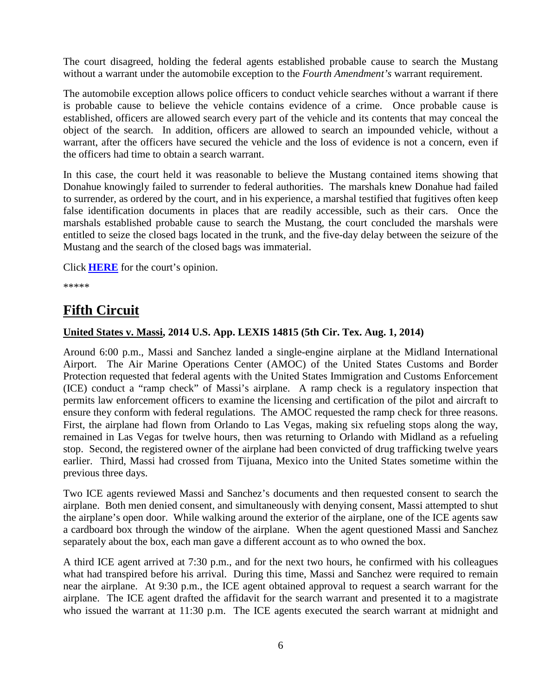The court disagreed, holding the federal agents established probable cause to search the Mustang without a warrant under the automobile exception to the *Fourth Amendment's* warrant requirement.

The automobile exception allows police officers to conduct vehicle searches without a warrant if there is probable cause to believe the vehicle contains evidence of a crime. Once probable cause is established, officers are allowed search every part of the vehicle and its contents that may conceal the object of the search. In addition, officers are allowed to search an impounded vehicle, without a warrant, after the officers have secured the vehicle and the loss of evidence is not a concern, even if the officers had time to obtain a search warrant.

In this case, the court held it was reasonable to believe the Mustang contained items showing that Donahue knowingly failed to surrender to federal authorities. The marshals knew Donahue had failed to surrender, as ordered by the court, and in his experience, a marshal testified that fugitives often keep false identification documents in places that are readily accessible, such as their cars. Once the marshals established probable cause to search the Mustang, the court concluded the marshals were entitled to seize the closed bags located in the trunk, and the five-day delay between the seizure of the Mustang and the search of the closed bags was immaterial.

Click **[HERE](http://docs.justia.com/cases/federal/appellate-courts/ca3/13-4767/13-4767-2014-08-22.pdf)** for the court's opinion.

\*\*\*\*\*

## <span id="page-5-0"></span>**Fifth Circuit**

#### <span id="page-5-1"></span>**United States v. Massi, 2014 U.S. App. LEXIS 14815 (5th Cir. Tex. Aug. 1, 2014)**

Around 6:00 p.m., Massi and Sanchez landed a single-engine airplane at the Midland International Airport. The Air Marine Operations Center (AMOC) of the United States Customs and Border Protection requested that federal agents with the United States Immigration and Customs Enforcement (ICE) conduct a "ramp check" of Massi's airplane. A ramp check is a regulatory inspection that permits law enforcement officers to examine the licensing and certification of the pilot and aircraft to ensure they conform with federal regulations. The AMOC requested the ramp check for three reasons. First, the airplane had flown from Orlando to Las Vegas, making six refueling stops along the way, remained in Las Vegas for twelve hours, then was returning to Orlando with Midland as a refueling stop. Second, the registered owner of the airplane had been convicted of drug trafficking twelve years earlier. Third, Massi had crossed from Tijuana, Mexico into the United States sometime within the previous three days.

Two ICE agents reviewed Massi and Sanchez's documents and then requested consent to search the airplane. Both men denied consent, and simultaneously with denying consent, Massi attempted to shut the airplane's open door. While walking around the exterior of the airplane, one of the ICE agents saw a cardboard box through the window of the airplane. When the agent questioned Massi and Sanchez separately about the box, each man gave a different account as to who owned the box.

A third ICE agent arrived at 7:30 p.m., and for the next two hours, he confirmed with his colleagues what had transpired before his arrival. During this time, Massi and Sanchez were required to remain near the airplane. At 9:30 p.m., the ICE agent obtained approval to request a search warrant for the airplane. The ICE agent drafted the affidavit for the search warrant and presented it to a magistrate who issued the warrant at 11:30 p.m. The ICE agents executed the search warrant at midnight and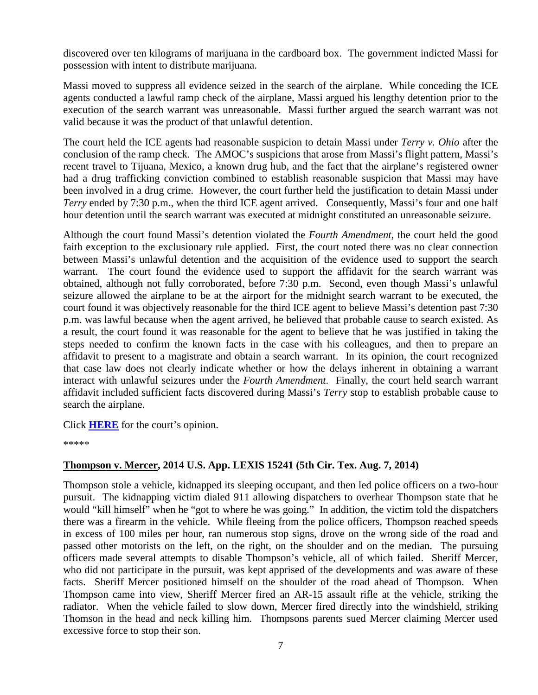discovered over ten kilograms of marijuana in the cardboard box. The government indicted Massi for possession with intent to distribute marijuana.

Massi moved to suppress all evidence seized in the search of the airplane. While conceding the ICE agents conducted a lawful ramp check of the airplane, Massi argued his lengthy detention prior to the execution of the search warrant was unreasonable. Massi further argued the search warrant was not valid because it was the product of that unlawful detention.

The court held the ICE agents had reasonable suspicion to detain Massi under *Terry v. Ohio* after the conclusion of the ramp check. The AMOC's suspicions that arose from Massi's flight pattern, Massi's recent travel to Tijuana, Mexico, a known drug hub, and the fact that the airplane's registered owner had a drug trafficking conviction combined to establish reasonable suspicion that Massi may have been involved in a drug crime. However, the court further held the justification to detain Massi under *Terry* ended by 7:30 p.m., when the third ICE agent arrived. Consequently, Massi's four and one half hour detention until the search warrant was executed at midnight constituted an unreasonable seizure.

Although the court found Massi's detention violated the *Fourth Amendment*, the court held the good faith exception to the exclusionary rule applied. First, the court noted there was no clear connection between Massi's unlawful detention and the acquisition of the evidence used to support the search warrant. The court found the evidence used to support the affidavit for the search warrant was obtained, although not fully corroborated, before 7:30 p.m. Second, even though Massi's unlawful seizure allowed the airplane to be at the airport for the midnight search warrant to be executed, the court found it was objectively reasonable for the third ICE agent to believe Massi's detention past 7:30 p.m. was lawful because when the agent arrived, he believed that probable cause to search existed. As a result, the court found it was reasonable for the agent to believe that he was justified in taking the steps needed to confirm the known facts in the case with his colleagues, and then to prepare an affidavit to present to a magistrate and obtain a search warrant. In its opinion, the court recognized that case law does not clearly indicate whether or how the delays inherent in obtaining a warrant interact with unlawful seizures under the *Fourth Amendment*. Finally, the court held search warrant affidavit included sufficient facts discovered during Massi's *Terry* stop to establish probable cause to search the airplane.

Click **[HERE](http://docs.justia.com/cases/federal/appellate-courts/ca5/12-51063/12-51063-2014-08-01.pdf)** for the court's opinion.

\*\*\*\*\*

#### <span id="page-6-0"></span>**Thompson v. Mercer, 2014 U.S. App. LEXIS 15241 (5th Cir. Tex. Aug. 7, 2014)**

Thompson stole a vehicle, kidnapped its sleeping occupant, and then led police officers on a two-hour pursuit. The kidnapping victim dialed 911 allowing dispatchers to overhear Thompson state that he would "kill himself" when he "got to where he was going." In addition, the victim told the dispatchers there was a firearm in the vehicle. While fleeing from the police officers, Thompson reached speeds in excess of 100 miles per hour, ran numerous stop signs, drove on the wrong side of the road and passed other motorists on the left, on the right, on the shoulder and on the median. The pursuing officers made several attempts to disable Thompson's vehicle, all of which failed. Sheriff Mercer, who did not participate in the pursuit, was kept apprised of the developments and was aware of these facts. Sheriff Mercer positioned himself on the shoulder of the road ahead of Thompson. When Thompson came into view, Sheriff Mercer fired an AR-15 assault rifle at the vehicle, striking the radiator. When the vehicle failed to slow down, Mercer fired directly into the windshield, striking Thomson in the head and neck killing him. Thompsons parents sued Mercer claiming Mercer used excessive force to stop their son.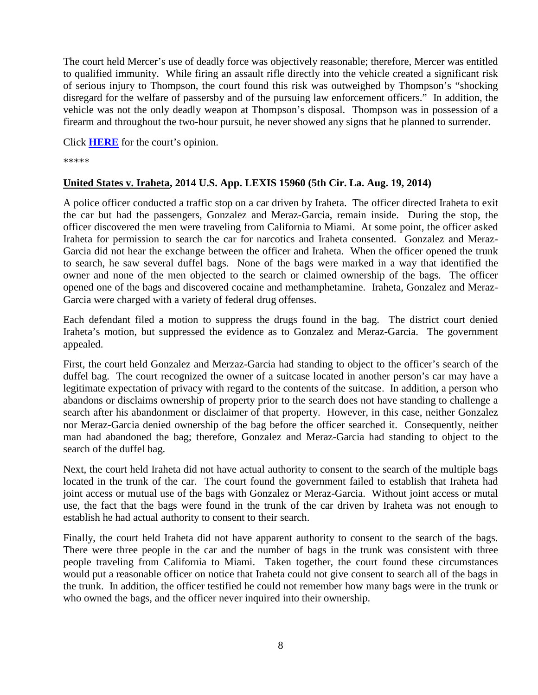The court held Mercer's use of deadly force was objectively reasonable; therefore, Mercer was entitled to qualified immunity. While firing an assault rifle directly into the vehicle created a significant risk of serious injury to Thompson, the court found this risk was outweighed by Thompson's "shocking disregard for the welfare of passersby and of the pursuing law enforcement officers." In addition, the vehicle was not the only deadly weapon at Thompson's disposal. Thompson was in possession of a firearm and throughout the two-hour pursuit, he never showed any signs that he planned to surrender.

Click **[HERE](http://docs.justia.com/cases/federal/appellate-courts/ca5/13-10773/13-10773-2014-08-07.pdf)** for the court's opinion.

\*\*\*\*\*

#### <span id="page-7-0"></span>**United States v. Iraheta, 2014 U.S. App. LEXIS 15960 (5th Cir. La. Aug. 19, 2014)**

A police officer conducted a traffic stop on a car driven by Iraheta. The officer directed Iraheta to exit the car but had the passengers, Gonzalez and Meraz-Garcia, remain inside. During the stop, the officer discovered the men were traveling from California to Miami. At some point, the officer asked Iraheta for permission to search the car for narcotics and Iraheta consented. Gonzalez and Meraz-Garcia did not hear the exchange between the officer and Iraheta. When the officer opened the trunk to search, he saw several duffel bags. None of the bags were marked in a way that identified the owner and none of the men objected to the search or claimed ownership of the bags. The officer opened one of the bags and discovered cocaine and methamphetamine. Iraheta, Gonzalez and Meraz-Garcia were charged with a variety of federal drug offenses.

Each defendant filed a motion to suppress the drugs found in the bag. The district court denied Iraheta's motion, but suppressed the evidence as to Gonzalez and Meraz-Garcia. The government appealed.

First, the court held Gonzalez and Merzaz-Garcia had standing to object to the officer's search of the duffel bag. The court recognized the owner of a suitcase located in another person's car may have a legitimate expectation of privacy with regard to the contents of the suitcase. In addition, a person who abandons or disclaims ownership of property prior to the search does not have standing to challenge a search after his abandonment or disclaimer of that property. However, in this case, neither Gonzalez nor Meraz-Garcia denied ownership of the bag before the officer searched it. Consequently, neither man had abandoned the bag; therefore, Gonzalez and Meraz-Garcia had standing to object to the search of the duffel bag.

Next, the court held Iraheta did not have actual authority to consent to the search of the multiple bags located in the trunk of the car. The court found the government failed to establish that Iraheta had joint access or mutual use of the bags with Gonzalez or Meraz-Garcia. Without joint access or mutal use, the fact that the bags were found in the trunk of the car driven by Iraheta was not enough to establish he had actual authority to consent to their search.

Finally, the court held Iraheta did not have apparent authority to consent to the search of the bags. There were three people in the car and the number of bags in the trunk was consistent with three people traveling from California to Miami. Taken together, the court found these circumstances would put a reasonable officer on notice that Iraheta could not give consent to search all of the bags in the trunk. In addition, the officer testified he could not remember how many bags were in the trunk or who owned the bags, and the officer never inquired into their ownership.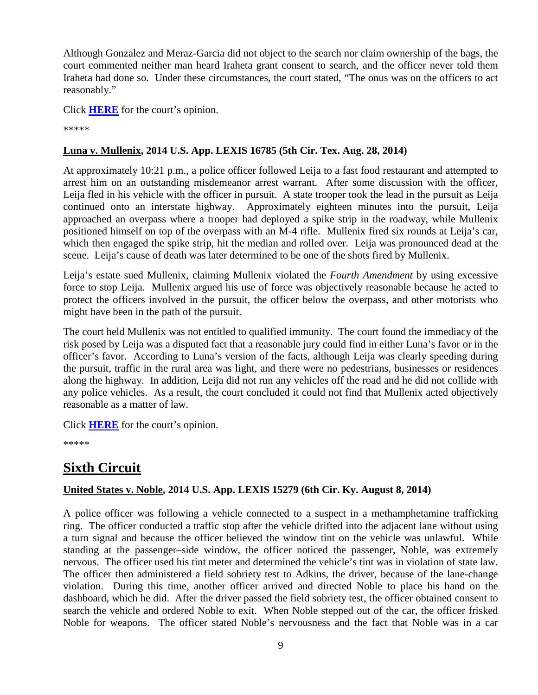Although Gonzalez and Meraz-Garcia did not object to the search nor claim ownership of the bags, the court commented neither man heard Iraheta grant consent to search, and the officer never told them Iraheta had done so. Under these circumstances, the court stated, "The onus was on the officers to act reasonably."

Click **[HERE](http://docs.justia.com/cases/federal/appellate-courts/ca5/13-30545/13-30545-2014-08-19.pdf)** for the court's opinion.

\*\*\*\*\*

#### <span id="page-8-0"></span>**Luna v. Mullenix, 2014 U.S. App. LEXIS 16785 (5th Cir. Tex. Aug. 28, 2014)**

At approximately 10:21 p.m., a police officer followed Leija to a fast food restaurant and attempted to arrest him on an outstanding misdemeanor arrest warrant. After some discussion with the officer, Leija fled in his vehicle with the officer in pursuit. A state trooper took the lead in the pursuit as Leija continued onto an interstate highway. Approximately eighteen minutes into the pursuit, Leija approached an overpass where a trooper had deployed a spike strip in the roadway, while Mullenix positioned himself on top of the overpass with an M-4 rifle. Mullenix fired six rounds at Leija's car, which then engaged the spike strip, hit the median and rolled over. Leija was pronounced dead at the scene. Leija's cause of death was later determined to be one of the shots fired by Mullenix.

Leija's estate sued Mullenix, claiming Mullenix violated the *Fourth Amendment* by using excessive force to stop Leija. Mullenix argued his use of force was objectively reasonable because he acted to protect the officers involved in the pursuit, the officer below the overpass, and other motorists who might have been in the path of the pursuit.

The court held Mullenix was not entitled to qualified immunity. The court found the immediacy of the risk posed by Leija was a disputed fact that a reasonable jury could find in either Luna's favor or in the officer's favor. According to Luna's version of the facts, although Leija was clearly speeding during the pursuit, traffic in the rural area was light, and there were no pedestrians, businesses or residences along the highway. In addition, Leija did not run any vehicles off the road and he did not collide with any police vehicles. As a result, the court concluded it could not find that Mullenix acted objectively reasonable as a matter of law.

Click **[HERE](http://docs.justia.com/cases/federal/appellate-courts/ca5/13-10899/13-10899-2014-08-28.pdf)** for the court's opinion.

\*\*\*\*\*

# <span id="page-8-1"></span>**Sixth Circuit**

#### <span id="page-8-2"></span>**United States v. Noble, 2014 U.S. App. LEXIS 15279 (6th Cir. Ky. August 8, 2014)**

A police officer was following a vehicle connected to a suspect in a methamphetamine trafficking ring. The officer conducted a traffic stop after the vehicle drifted into the adjacent lane without using a turn signal and because the officer believed the window tint on the vehicle was unlawful. While standing at the passenger–side window, the officer noticed the passenger, Noble, was extremely nervous. The officer used his tint meter and determined the vehicle's tint was in violation of state law. The officer then administered a field sobriety test to Adkins, the driver, because of the lane-change violation. During this time, another officer arrived and directed Noble to place his hand on the dashboard, which he did. After the driver passed the field sobriety test, the officer obtained consent to search the vehicle and ordered Noble to exit. When Noble stepped out of the car, the officer frisked Noble for weapons. The officer stated Noble's nervousness and the fact that Noble was in a car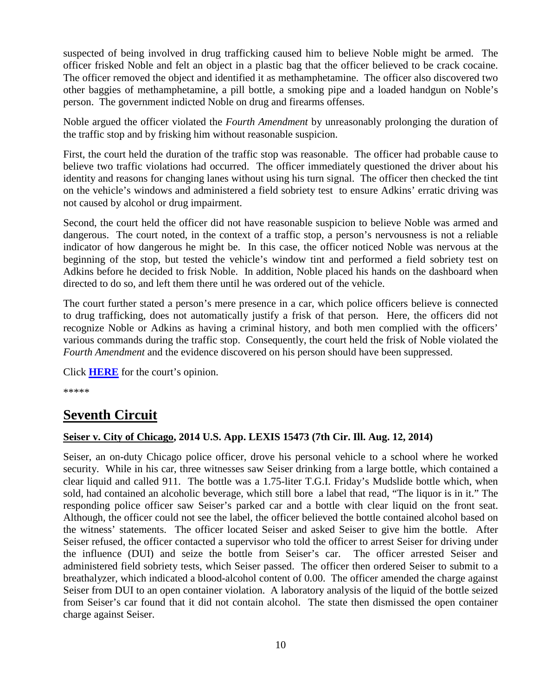suspected of being involved in drug trafficking caused him to believe Noble might be armed. The officer frisked Noble and felt an object in a plastic bag that the officer believed to be crack cocaine. The officer removed the object and identified it as methamphetamine. The officer also discovered two other baggies of methamphetamine, a pill bottle, a smoking pipe and a loaded handgun on Noble's person. The government indicted Noble on drug and firearms offenses.

Noble argued the officer violated the *Fourth Amendment* by unreasonably prolonging the duration of the traffic stop and by frisking him without reasonable suspicion.

First, the court held the duration of the traffic stop was reasonable. The officer had probable cause to believe two traffic violations had occurred. The officer immediately questioned the driver about his identity and reasons for changing lanes without using his turn signal. The officer then checked the tint on the vehicle's windows and administered a field sobriety test to ensure Adkins' erratic driving was not caused by alcohol or drug impairment.

Second, the court held the officer did not have reasonable suspicion to believe Noble was armed and dangerous. The court noted, in the context of a traffic stop, a person's nervousness is not a reliable indicator of how dangerous he might be. In this case, the officer noticed Noble was nervous at the beginning of the stop, but tested the vehicle's window tint and performed a field sobriety test on Adkins before he decided to frisk Noble. In addition, Noble placed his hands on the dashboard when directed to do so, and left them there until he was ordered out of the vehicle.

The court further stated a person's mere presence in a car, which police officers believe is connected to drug trafficking, does not automatically justify a frisk of that person. Here, the officers did not recognize Noble or Adkins as having a criminal history, and both men complied with the officers' various commands during the traffic stop. Consequently, the court held the frisk of Noble violated the *Fourth Amendment* and the evidence discovered on his person should have been suppressed.

Click **[HERE](http://docs.justia.com/cases/federal/appellate-courts/ca6/13-6056/13-6056-2014-08-08.pdf)** for the court's opinion.

\*\*\*\*\*

## <span id="page-9-0"></span>**Seventh Circuit**

#### <span id="page-9-1"></span>**Seiser v. City of Chicago, 2014 U.S. App. LEXIS 15473 (7th Cir. Ill. Aug. 12, 2014)**

Seiser, an on-duty Chicago police officer, drove his personal vehicle to a school where he worked security. While in his car, three witnesses saw Seiser drinking from a large bottle, which contained a clear liquid and called 911. The bottle was a 1.75-liter T.G.I. Friday's Mudslide bottle which, when sold, had contained an alcoholic beverage, which still bore a label that read, "The liquor is in it." The responding police officer saw Seiser's parked car and a bottle with clear liquid on the front seat. Although, the officer could not see the label, the officer believed the bottle contained alcohol based on the witness' statements. The officer located Seiser and asked Seiser to give him the bottle. After Seiser refused, the officer contacted a supervisor who told the officer to arrest Seiser for driving under the influence (DUI) and seize the bottle from Seiser's car. The officer arrested Seiser and administered field sobriety tests, which Seiser passed. The officer then ordered Seiser to submit to a breathalyzer, which indicated a blood-alcohol content of 0.00. The officer amended the charge against Seiser from DUI to an open container violation. A laboratory analysis of the liquid of the bottle seized from Seiser's car found that it did not contain alcohol. The state then dismissed the open container charge against Seiser.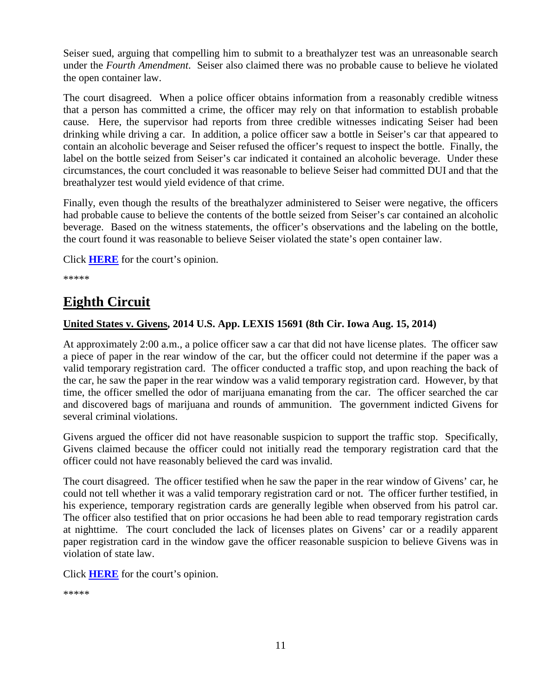Seiser sued, arguing that compelling him to submit to a breathalyzer test was an unreasonable search under the *Fourth Amendment*. Seiser also claimed there was no probable cause to believe he violated the open container law.

The court disagreed. When a police officer obtains information from a reasonably credible witness that a person has committed a crime, the officer may rely on that information to establish probable cause. Here, the supervisor had reports from three credible witnesses indicating Seiser had been drinking while driving a car. In addition, a police officer saw a bottle in Seiser's car that appeared to contain an alcoholic beverage and Seiser refused the officer's request to inspect the bottle. Finally, the label on the bottle seized from Seiser's car indicated it contained an alcoholic beverage. Under these circumstances, the court concluded it was reasonable to believe Seiser had committed DUI and that the breathalyzer test would yield evidence of that crime.

Finally, even though the results of the breathalyzer administered to Seiser were negative, the officers had probable cause to believe the contents of the bottle seized from Seiser's car contained an alcoholic beverage. Based on the witness statements, the officer's observations and the labeling on the bottle, the court found it was reasonable to believe Seiser violated the state's open container law.

Click **[HERE](http://docs.justia.com/cases/federal/appellate-courts/ca7/13-1985/13-1985-2014-08-12.pdf)** for the court's opinion.

\*\*\*\*\*

## <span id="page-10-0"></span>**Eighth Circuit**

#### <span id="page-10-1"></span>**United States v. Givens, 2014 U.S. App. LEXIS 15691 (8th Cir. Iowa Aug. 15, 2014)**

At approximately 2:00 a.m., a police officer saw a car that did not have license plates. The officer saw a piece of paper in the rear window of the car, but the officer could not determine if the paper was a valid temporary registration card. The officer conducted a traffic stop, and upon reaching the back of the car, he saw the paper in the rear window was a valid temporary registration card. However, by that time, the officer smelled the odor of marijuana emanating from the car. The officer searched the car and discovered bags of marijuana and rounds of ammunition. The government indicted Givens for several criminal violations.

Givens argued the officer did not have reasonable suspicion to support the traffic stop. Specifically, Givens claimed because the officer could not initially read the temporary registration card that the officer could not have reasonably believed the card was invalid.

The court disagreed. The officer testified when he saw the paper in the rear window of Givens' car, he could not tell whether it was a valid temporary registration card or not. The officer further testified, in his experience, temporary registration cards are generally legible when observed from his patrol car. The officer also testified that on prior occasions he had been able to read temporary registration cards at nighttime. The court concluded the lack of licenses plates on Givens' car or a readily apparent paper registration card in the window gave the officer reasonable suspicion to believe Givens was in violation of state law.

Click **[HERE](http://docs.justia.com/cases/federal/appellate-courts/ca8/13-2713/13-2713-2014-08-15.pdf)** for the court's opinion.

```
*****
```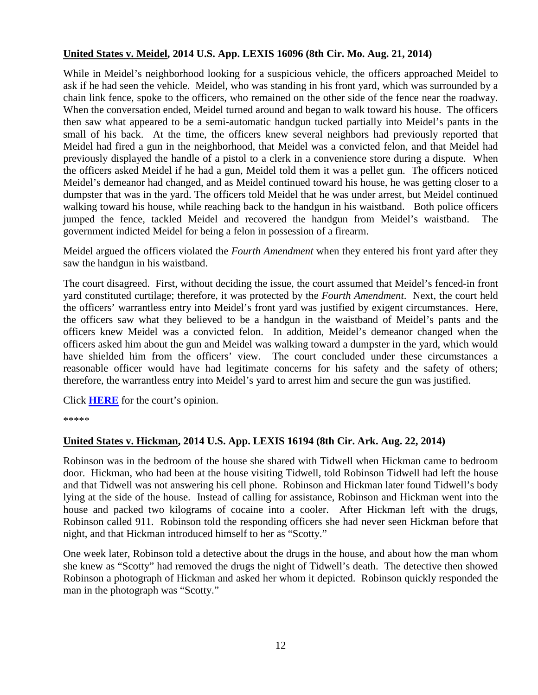#### <span id="page-11-0"></span>**United States v. Meidel, 2014 U.S. App. LEXIS 16096 (8th Cir. Mo. Aug. 21, 2014)**

While in Meidel's neighborhood looking for a suspicious vehicle, the officers approached Meidel to ask if he had seen the vehicle. Meidel, who was standing in his front yard, which was surrounded by a chain link fence, spoke to the officers, who remained on the other side of the fence near the roadway. When the conversation ended, Meidel turned around and began to walk toward his house. The officers then saw what appeared to be a semi-automatic handgun tucked partially into Meidel's pants in the small of his back. At the time, the officers knew several neighbors had previously reported that Meidel had fired a gun in the neighborhood, that Meidel was a convicted felon, and that Meidel had previously displayed the handle of a pistol to a clerk in a convenience store during a dispute. When the officers asked Meidel if he had a gun, Meidel told them it was a pellet gun. The officers noticed Meidel's demeanor had changed, and as Meidel continued toward his house, he was getting closer to a dumpster that was in the yard. The officers told Meidel that he was under arrest, but Meidel continued walking toward his house, while reaching back to the handgun in his waistband. Both police officers jumped the fence, tackled Meidel and recovered the handgun from Meidel's waistband. The government indicted Meidel for being a felon in possession of a firearm.

Meidel argued the officers violated the *Fourth Amendment* when they entered his front yard after they saw the handgun in his waistband.

The court disagreed. First, without deciding the issue, the court assumed that Meidel's fenced-in front yard constituted curtilage; therefore, it was protected by the *Fourth Amendment*. Next, the court held the officers' warrantless entry into Meidel's front yard was justified by exigent circumstances. Here, the officers saw what they believed to be a handgun in the waistband of Meidel's pants and the officers knew Meidel was a convicted felon. In addition, Meidel's demeanor changed when the officers asked him about the gun and Meidel was walking toward a dumpster in the yard, which would have shielded him from the officers' view. The court concluded under these circumstances a reasonable officer would have had legitimate concerns for his safety and the safety of others; therefore, the warrantless entry into Meidel's yard to arrest him and secure the gun was justified.

Click **[HERE](http://docs.justia.com/cases/federal/appellate-courts/ca8/13-3251/13-3251-2014-08-21.pdf)** for the court's opinion.

\*\*\*\*\*

#### <span id="page-11-1"></span>**United States v. Hickman, 2014 U.S. App. LEXIS 16194 (8th Cir. Ark. Aug. 22, 2014)**

Robinson was in the bedroom of the house she shared with Tidwell when Hickman came to bedroom door. Hickman, who had been at the house visiting Tidwell, told Robinson Tidwell had left the house and that Tidwell was not answering his cell phone. Robinson and Hickman later found Tidwell's body lying at the side of the house. Instead of calling for assistance, Robinson and Hickman went into the house and packed two kilograms of cocaine into a cooler. After Hickman left with the drugs, Robinson called 911. Robinson told the responding officers she had never seen Hickman before that night, and that Hickman introduced himself to her as "Scotty."

One week later, Robinson told a detective about the drugs in the house, and about how the man whom she knew as "Scotty" had removed the drugs the night of Tidwell's death. The detective then showed Robinson a photograph of Hickman and asked her whom it depicted. Robinson quickly responded the man in the photograph was "Scotty."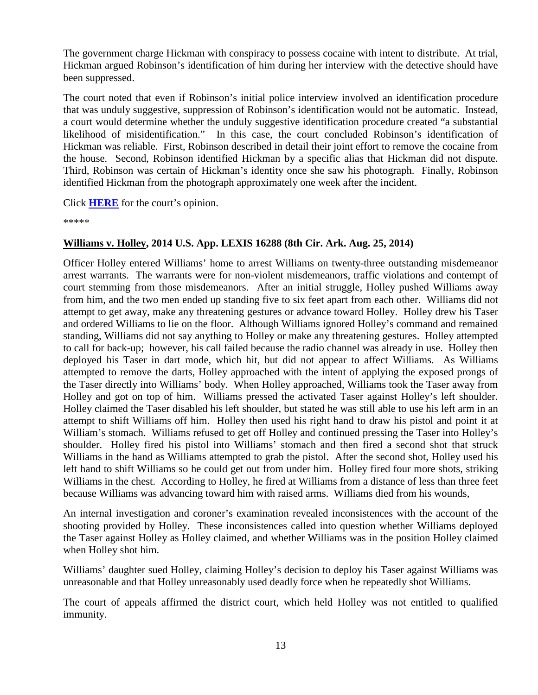The government charge Hickman with conspiracy to possess cocaine with intent to distribute. At trial, Hickman argued Robinson's identification of him during her interview with the detective should have been suppressed.

The court noted that even if Robinson's initial police interview involved an identification procedure that was unduly suggestive, suppression of Robinson's identification would not be automatic. Instead, a court would determine whether the unduly suggestive identification procedure created "a substantial likelihood of misidentification." In this case, the court concluded Robinson's identification of Hickman was reliable. First, Robinson described in detail their joint effort to remove the cocaine from the house. Second, Robinson identified Hickman by a specific alias that Hickman did not dispute. Third, Robinson was certain of Hickman's identity once she saw his photograph. Finally, Robinson identified Hickman from the photograph approximately one week after the incident.

Click **[HERE](http://docs.justia.com/cases/federal/appellate-courts/ca8/13-2675/13-2675-2014-08-22.pdf)** for the court's opinion.

\*\*\*\*\*

#### <span id="page-12-0"></span>**Williams v. Holley, 2014 U.S. App. LEXIS 16288 (8th Cir. Ark. Aug. 25, 2014)**

Officer Holley entered Williams' home to arrest Williams on twenty-three outstanding misdemeanor arrest warrants. The warrants were for non-violent misdemeanors, traffic violations and contempt of court stemming from those misdemeanors. After an initial struggle, Holley pushed Williams away from him, and the two men ended up standing five to six feet apart from each other. Williams did not attempt to get away, make any threatening gestures or advance toward Holley. Holley drew his Taser and ordered Williams to lie on the floor. Although Williams ignored Holley's command and remained standing, Williams did not say anything to Holley or make any threatening gestures. Holley attempted to call for back-up; however, his call failed because the radio channel was already in use. Holley then deployed his Taser in dart mode, which hit, but did not appear to affect Williams. As Williams attempted to remove the darts, Holley approached with the intent of applying the exposed prongs of the Taser directly into Williams' body. When Holley approached, Williams took the Taser away from Holley and got on top of him. Williams pressed the activated Taser against Holley's left shoulder. Holley claimed the Taser disabled his left shoulder, but stated he was still able to use his left arm in an attempt to shift Williams off him. Holley then used his right hand to draw his pistol and point it at William's stomach. Williams refused to get off Holley and continued pressing the Taser into Holley's shoulder. Holley fired his pistol into Williams' stomach and then fired a second shot that struck Williams in the hand as Williams attempted to grab the pistol. After the second shot, Holley used his left hand to shift Williams so he could get out from under him. Holley fired four more shots, striking Williams in the chest. According to Holley, he fired at Williams from a distance of less than three feet because Williams was advancing toward him with raised arms. Williams died from his wounds,

An internal investigation and coroner's examination revealed inconsistences with the account of the shooting provided by Holley. These inconsistences called into question whether Williams deployed the Taser against Holley as Holley claimed, and whether Williams was in the position Holley claimed when Holley shot him.

Williams' daughter sued Holley, claiming Holley's decision to deploy his Taser against Williams was unreasonable and that Holley unreasonably used deadly force when he repeatedly shot Williams.

The court of appeals affirmed the district court, which held Holley was not entitled to qualified immunity.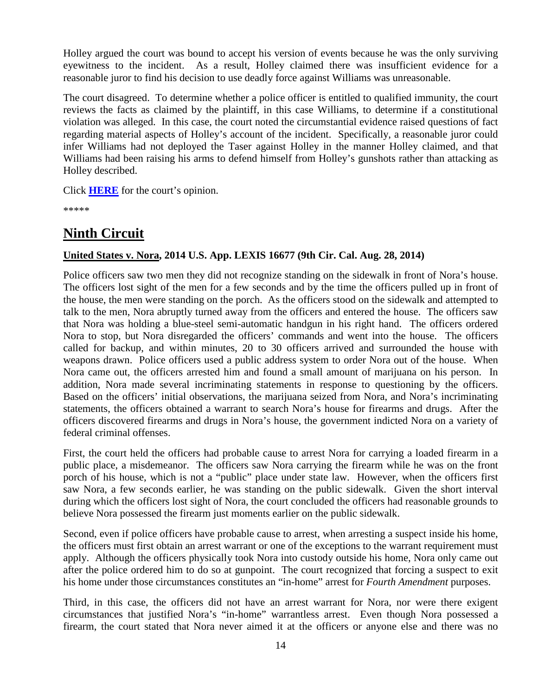Holley argued the court was bound to accept his version of events because he was the only surviving eyewitness to the incident. As a result, Holley claimed there was insufficient evidence for a reasonable juror to find his decision to use deadly force against Williams was unreasonable.

The court disagreed. To determine whether a police officer is entitled to qualified immunity, the court reviews the facts as claimed by the plaintiff, in this case Williams, to determine if a constitutional violation was alleged. In this case, the court noted the circumstantial evidence raised questions of fact regarding material aspects of Holley's account of the incident. Specifically, a reasonable juror could infer Williams had not deployed the Taser against Holley in the manner Holley claimed, and that Williams had been raising his arms to defend himself from Holley's gunshots rather than attacking as Holley described.

Click **[HERE](http://docs.justia.com/cases/federal/appellate-courts/ca8/13-3720/13-3720-2014-08-25.pdf)** for the court's opinion.

\*\*\*\*\*

## <span id="page-13-0"></span>**Ninth Circuit**

#### <span id="page-13-1"></span>**United States v. Nora, 2014 U.S. App. LEXIS 16677 (9th Cir. Cal. Aug. 28, 2014)**

Police officers saw two men they did not recognize standing on the sidewalk in front of Nora's house. The officers lost sight of the men for a few seconds and by the time the officers pulled up in front of the house, the men were standing on the porch. As the officers stood on the sidewalk and attempted to talk to the men, Nora abruptly turned away from the officers and entered the house. The officers saw that Nora was holding a blue-steel semi-automatic handgun in his right hand. The officers ordered Nora to stop, but Nora disregarded the officers' commands and went into the house. The officers called for backup, and within minutes, 20 to 30 officers arrived and surrounded the house with weapons drawn. Police officers used a public address system to order Nora out of the house. When Nora came out, the officers arrested him and found a small amount of marijuana on his person. In addition, Nora made several incriminating statements in response to questioning by the officers. Based on the officers' initial observations, the marijuana seized from Nora, and Nora's incriminating statements, the officers obtained a warrant to search Nora's house for firearms and drugs. After the officers discovered firearms and drugs in Nora's house, the government indicted Nora on a variety of federal criminal offenses.

First, the court held the officers had probable cause to arrest Nora for carrying a loaded firearm in a public place, a misdemeanor. The officers saw Nora carrying the firearm while he was on the front porch of his house, which is not a "public" place under state law. However, when the officers first saw Nora, a few seconds earlier, he was standing on the public sidewalk. Given the short interval during which the officers lost sight of Nora, the court concluded the officers had reasonable grounds to believe Nora possessed the firearm just moments earlier on the public sidewalk.

Second, even if police officers have probable cause to arrest, when arresting a suspect inside his home, the officers must first obtain an arrest warrant or one of the exceptions to the warrant requirement must apply. Although the officers physically took Nora into custody outside his home, Nora only came out after the police ordered him to do so at gunpoint. The court recognized that forcing a suspect to exit his home under those circumstances constitutes an "in-home" arrest for *Fourth Amendment* purposes.

Third, in this case, the officers did not have an arrest warrant for Nora, nor were there exigent circumstances that justified Nora's "in-home" warrantless arrest. Even though Nora possessed a firearm, the court stated that Nora never aimed it at the officers or anyone else and there was no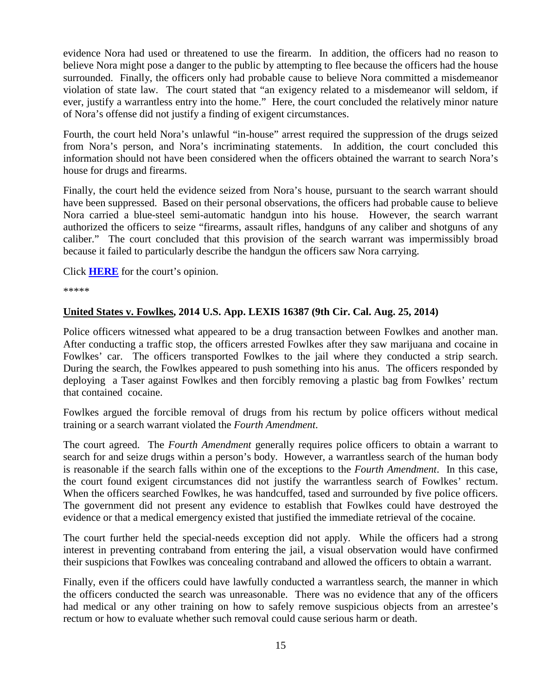evidence Nora had used or threatened to use the firearm. In addition, the officers had no reason to believe Nora might pose a danger to the public by attempting to flee because the officers had the house surrounded. Finally, the officers only had probable cause to believe Nora committed a misdemeanor violation of state law. The court stated that "an exigency related to a misdemeanor will seldom, if ever, justify a warrantless entry into the home." Here, the court concluded the relatively minor nature of Nora's offense did not justify a finding of exigent circumstances.

Fourth, the court held Nora's unlawful "in-house" arrest required the suppression of the drugs seized from Nora's person, and Nora's incriminating statements. In addition, the court concluded this information should not have been considered when the officers obtained the warrant to search Nora's house for drugs and firearms.

Finally, the court held the evidence seized from Nora's house, pursuant to the search warrant should have been suppressed. Based on their personal observations, the officers had probable cause to believe Nora carried a blue-steel semi-automatic handgun into his house. However, the search warrant authorized the officers to seize "firearms, assault rifles, handguns of any caliber and shotguns of any caliber." The court concluded that this provision of the search warrant was impermissibly broad because it failed to particularly describe the handgun the officers saw Nora carrying.

Click **[HERE](http://docs.justia.com/cases/federal/appellate-courts/ca9/12-50485/12-50485-2014-08-28.pdf)** for the court's opinion.

\*\*\*\*\*

#### <span id="page-14-0"></span>**United States v. Fowlkes, 2014 U.S. App. LEXIS 16387 (9th Cir. Cal. Aug. 25, 2014)**

Police officers witnessed what appeared to be a drug transaction between Fowlkes and another man. After conducting a traffic stop, the officers arrested Fowlkes after they saw marijuana and cocaine in Fowlkes' car. The officers transported Fowlkes to the jail where they conducted a strip search. During the search, the Fowlkes appeared to push something into his anus. The officers responded by deploying a Taser against Fowlkes and then forcibly removing a plastic bag from Fowlkes' rectum that contained cocaine.

Fowlkes argued the forcible removal of drugs from his rectum by police officers without medical training or a search warrant violated the *Fourth Amendment*.

The court agreed. The *Fourth Amendment* generally requires police officers to obtain a warrant to search for and seize drugs within a person's body. However, a warrantless search of the human body is reasonable if the search falls within one of the exceptions to the *Fourth Amendment*. In this case, the court found exigent circumstances did not justify the warrantless search of Fowlkes' rectum. When the officers searched Fowlkes, he was handcuffed, tased and surrounded by five police officers. The government did not present any evidence to establish that Fowlkes could have destroyed the evidence or that a medical emergency existed that justified the immediate retrieval of the cocaine.

The court further held the special-needs exception did not apply. While the officers had a strong interest in preventing contraband from entering the jail, a visual observation would have confirmed their suspicions that Fowlkes was concealing contraband and allowed the officers to obtain a warrant.

Finally, even if the officers could have lawfully conducted a warrantless search, the manner in which the officers conducted the search was unreasonable. There was no evidence that any of the officers had medical or any other training on how to safely remove suspicious objects from an arrestee's rectum or how to evaluate whether such removal could cause serious harm or death.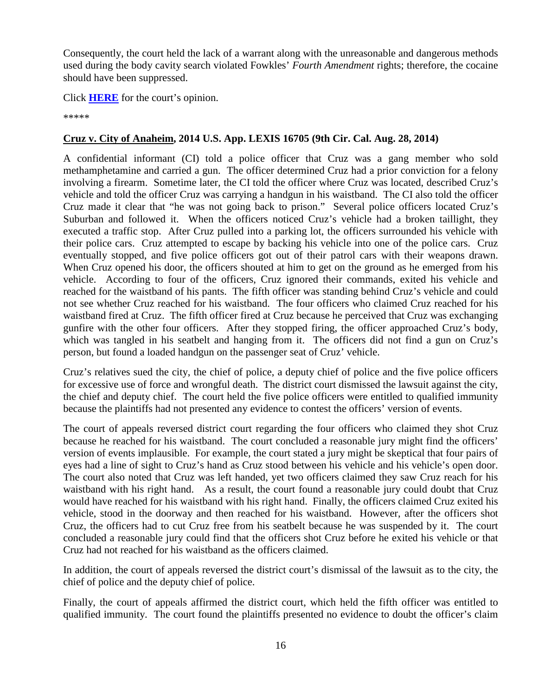Consequently, the court held the lack of a warrant along with the unreasonable and dangerous methods used during the body cavity search violated Fowkles' *Fourth Amendment* rights; therefore, the cocaine should have been suppressed.

Click **[HERE](http://docs.justia.com/cases/federal/appellate-courts/ca9/11-50273/11-50273-2014-08-25.pdf)** for the court's opinion.

\*\*\*\*\*

#### <span id="page-15-0"></span>**Cruz v. City of Anaheim, 2014 U.S. App. LEXIS 16705 (9th Cir. Cal. Aug. 28, 2014)**

A confidential informant (CI) told a police officer that Cruz was a gang member who sold methamphetamine and carried a gun. The officer determined Cruz had a prior conviction for a felony involving a firearm. Sometime later, the CI told the officer where Cruz was located, described Cruz's vehicle and told the officer Cruz was carrying a handgun in his waistband. The CI also told the officer Cruz made it clear that "he was not going back to prison." Several police officers located Cruz's Suburban and followed it. When the officers noticed Cruz's vehicle had a broken taillight, they executed a traffic stop. After Cruz pulled into a parking lot, the officers surrounded his vehicle with their police cars. Cruz attempted to escape by backing his vehicle into one of the police cars. Cruz eventually stopped, and five police officers got out of their patrol cars with their weapons drawn. When Cruz opened his door, the officers shouted at him to get on the ground as he emerged from his vehicle. According to four of the officers, Cruz ignored their commands, exited his vehicle and reached for the waistband of his pants. The fifth officer was standing behind Cruz's vehicle and could not see whether Cruz reached for his waistband. The four officers who claimed Cruz reached for his waistband fired at Cruz. The fifth officer fired at Cruz because he perceived that Cruz was exchanging gunfire with the other four officers. After they stopped firing, the officer approached Cruz's body, which was tangled in his seatbelt and hanging from it. The officers did not find a gun on Cruz's person, but found a loaded handgun on the passenger seat of Cruz' vehicle.

Cruz's relatives sued the city, the chief of police, a deputy chief of police and the five police officers for excessive use of force and wrongful death. The district court dismissed the lawsuit against the city, the chief and deputy chief. The court held the five police officers were entitled to qualified immunity because the plaintiffs had not presented any evidence to contest the officers' version of events.

The court of appeals reversed district court regarding the four officers who claimed they shot Cruz because he reached for his waistband. The court concluded a reasonable jury might find the officers' version of events implausible. For example, the court stated a jury might be skeptical that four pairs of eyes had a line of sight to Cruz's hand as Cruz stood between his vehicle and his vehicle's open door. The court also noted that Cruz was left handed, yet two officers claimed they saw Cruz reach for his waistband with his right hand. As a result, the court found a reasonable jury could doubt that Cruz would have reached for his waistband with his right hand. Finally, the officers claimed Cruz exited his vehicle, stood in the doorway and then reached for his waistband. However, after the officers shot Cruz, the officers had to cut Cruz free from his seatbelt because he was suspended by it. The court concluded a reasonable jury could find that the officers shot Cruz before he exited his vehicle or that Cruz had not reached for his waistband as the officers claimed.

In addition, the court of appeals reversed the district court's dismissal of the lawsuit as to the city, the chief of police and the deputy chief of police.

Finally, the court of appeals affirmed the district court, which held the fifth officer was entitled to qualified immunity. The court found the plaintiffs presented no evidence to doubt the officer's claim